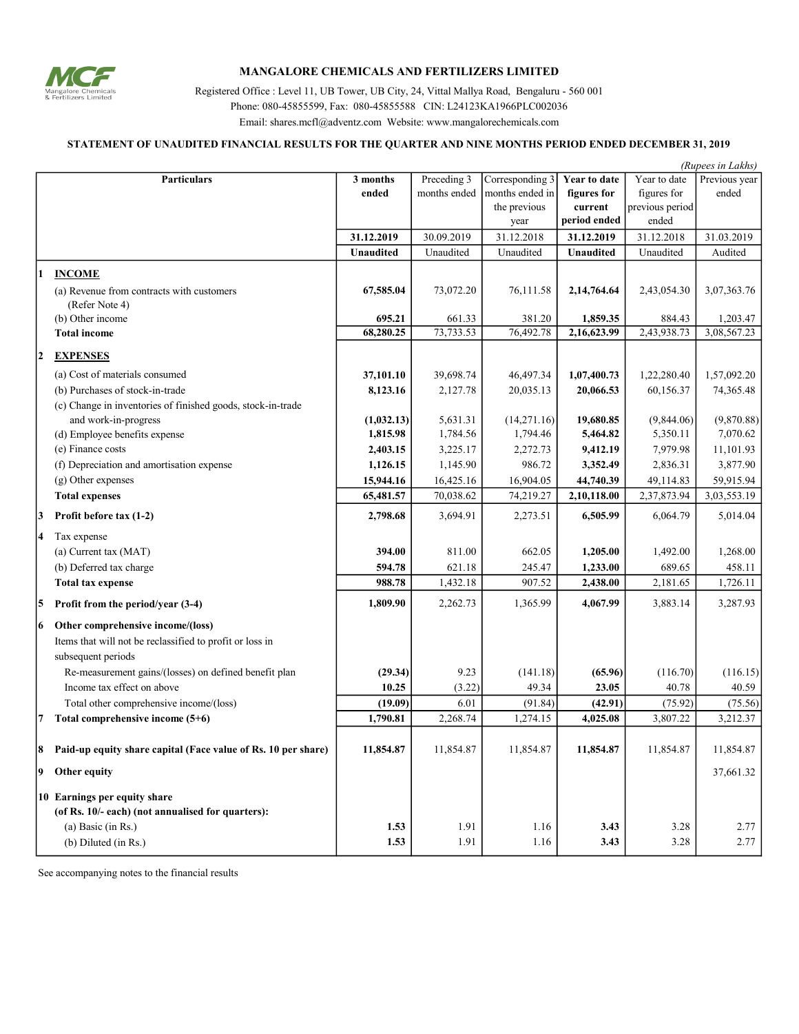

## MANGALORE CHEMICALS AND FERTILIZERS LIMITED

Registered Office : Level 11, UB Tower, UB City, 24, Vittal Mallya Road, Bengaluru - 560 001 Phone: 080-45855599, Fax: 080-45855588 CIN: L24123KA1966PLC002036 Email: shares.mcfl@adventz.com Website: www.mangalorechemicals.com

## STATEMENT OF UNAUDITED FINANCIAL RESULTS FOR THE QUARTER AND NINE MONTHS PERIOD ENDED DECEMBER 31, 2019

| (Rupees in Lakhs) |                                                               |                  |              |                 |                     |                 |               |
|-------------------|---------------------------------------------------------------|------------------|--------------|-----------------|---------------------|-----------------|---------------|
|                   | <b>Particulars</b>                                            | 3 months         | Preceding 3  | Corresponding 3 | <b>Year to date</b> | Year to date    | Previous year |
|                   |                                                               | ended            | months ended | months ended in | figures for         | figures for     | ended         |
|                   |                                                               |                  |              | the previous    | current             | previous period |               |
|                   |                                                               |                  |              | year            | period ended        | ended           |               |
|                   |                                                               | 31.12.2019       | 30.09.2019   | 31.12.2018      | 31.12.2019          | 31.12.2018      | 31.03.2019    |
|                   |                                                               | <b>Unaudited</b> | Unaudited    | Unaudited       | Unaudited           | Unaudited       | Audited       |
| 1                 | <b>INCOME</b>                                                 |                  |              |                 |                     |                 |               |
|                   | (a) Revenue from contracts with customers                     | 67,585.04        | 73,072.20    | 76,111.58       | 2,14,764.64         | 2,43,054.30     | 3,07,363.76   |
|                   | (Refer Note 4)                                                |                  |              |                 |                     |                 |               |
|                   | (b) Other income                                              | 695.21           | 661.33       | 381.20          | 1,859.35            | 884.43          | 1,203.47      |
|                   | <b>Total income</b>                                           | 68,280.25        | 73,733.53    | 76,492.78       | 2,16,623.99         | 2,43,938.73     | 3,08,567.23   |
| 2                 | <b>EXPENSES</b>                                               |                  |              |                 |                     |                 |               |
|                   | (a) Cost of materials consumed                                | 37,101.10        | 39,698.74    | 46,497.34       | 1,07,400.73         | 1,22,280.40     | 1,57,092.20   |
|                   | (b) Purchases of stock-in-trade                               | 8,123.16         | 2,127.78     | 20,035.13       | 20,066.53           | 60,156.37       | 74,365.48     |
|                   | (c) Change in inventories of finished goods, stock-in-trade   |                  |              |                 |                     |                 |               |
|                   | and work-in-progress                                          | (1,032.13)       | 5,631.31     | (14,271.16)     | 19,680.85           | (9,844.06)      | (9,870.88)    |
|                   | (d) Employee benefits expense                                 | 1,815.98         | 1,784.56     | 1,794.46        | 5,464.82            | 5,350.11        | 7,070.62      |
|                   | (e) Finance costs                                             | 2,403.15         | 3,225.17     | 2,272.73        | 9,412.19            | 7,979.98        | 11,101.93     |
|                   | (f) Depreciation and amortisation expense                     | 1,126.15         | 1,145.90     | 986.72          | 3,352.49            | 2,836.31        | 3,877.90      |
|                   | (g) Other expenses                                            | 15,944.16        | 16,425.16    | 16,904.05       | 44,740.39           | 49,114.83       | 59,915.94     |
|                   | <b>Total expenses</b>                                         | 65,481.57        | 70,038.62    | 74,219.27       | 2,10,118.00         | 2,37,873.94     | 3,03,553.19   |
| 3                 | Profit before tax (1-2)                                       | 2,798.68         | 3,694.91     | 2,273.51        | 6,505.99            | 6,064.79        | 5,014.04      |
| 4                 | Tax expense                                                   |                  |              |                 |                     |                 |               |
|                   | (a) Current tax (MAT)                                         | 394.00           | 811.00       | 662.05          | 1,205.00            | 1,492.00        | 1,268.00      |
|                   | (b) Deferred tax charge                                       | 594.78           | 621.18       | 245.47          | 1,233.00            | 689.65          | 458.11        |
|                   | <b>Total tax expense</b>                                      | 988.78           | 1,432.18     | 907.52          | 2,438.00            | 2,181.65        | 1,726.11      |
| 5                 | Profit from the period/year (3-4)                             | 1,809.90         | 2,262.73     | 1,365.99        | 4,067.99            | 3,883.14        | 3,287.93      |
|                   |                                                               |                  |              |                 |                     |                 |               |
| 6                 | Other comprehensive income/(loss)                             |                  |              |                 |                     |                 |               |
|                   | Items that will not be reclassified to profit or loss in      |                  |              |                 |                     |                 |               |
|                   | subsequent periods                                            |                  |              |                 |                     |                 |               |
|                   | Re-measurement gains/(losses) on defined benefit plan         | (29.34)          | 9.23         | (141.18)        | (65.96)             | (116.70)        | (116.15)      |
|                   | Income tax effect on above                                    | 10.25            | (3.22)       | 49.34           | 23.05               | 40.78           | 40.59         |
|                   | Total other comprehensive income/(loss)                       | (19.09)          | 6.01         | (91.84)         | (42.91)             | (75.92)         | (75.56)       |
| 7                 | Total comprehensive income (5+6)                              | 1,790.81         | 2,268.74     | 1,274.15        | 4,025.08            | 3,807.22        | 3,212.37      |
| 8                 | Paid-up equity share capital (Face value of Rs. 10 per share) | 11,854.87        | 11,854.87    | 11,854.87       | 11,854.87           | 11,854.87       | 11,854.87     |
| 9                 | Other equity                                                  |                  |              |                 |                     |                 | 37,661.32     |
|                   | 10 Earnings per equity share                                  |                  |              |                 |                     |                 |               |
|                   | (of Rs. 10/- each) (not annualised for quarters):             |                  |              |                 |                     |                 |               |
|                   | (a) Basic (in Rs.)                                            | 1.53             | 1.91         | 1.16            | 3.43                | 3.28            | 2.77          |
|                   | (b) Diluted (in Rs.)                                          | 1.53             | 1.91         | 1.16            | 3.43                | 3.28            | 2.77          |

See accompanying notes to the financial results